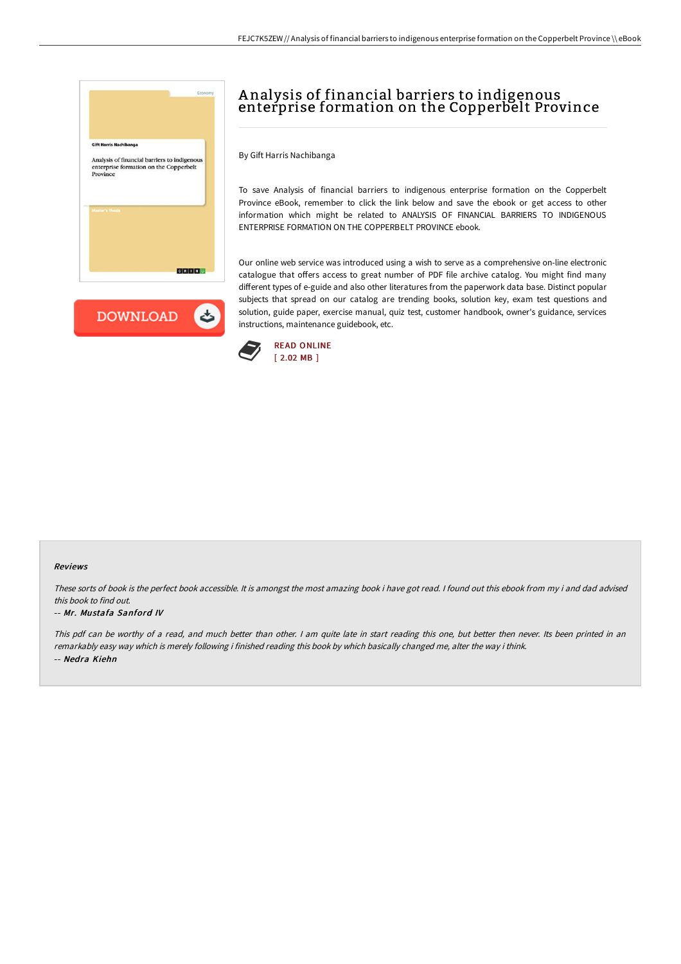



# A nalysis of financial barriers to indigenous enterprise formation on the Copperbelt Province

By Gift Harris Nachibanga

To save Analysis of financial barriers to indigenous enterprise formation on the Copperbelt Province eBook, remember to click the link below and save the ebook or get access to other information which might be related to ANALYSIS OF FINANCIAL BARRIERS TO INDIGENOUS ENTERPRISE FORMATION ON THE COPPERBELT PROVINCE ebook.

Our online web service was introduced using a wish to serve as a comprehensive on-line electronic catalogue that offers access to great number of PDF file archive catalog. You might find many different types of e-guide and also other literatures from the paperwork data base. Distinct popular subjects that spread on our catalog are trending books, solution key, exam test questions and solution, guide paper, exercise manual, quiz test, customer handbook, owner's guidance, services instructions, maintenance guidebook, etc.



### Reviews

These sorts of book is the perfect book accessible. It is amongst the most amazing book i have got read. I found out this ebook from my i and dad advised this book to find out.

#### -- Mr. Mustafa Sanford IV

This pdf can be worthy of <sup>a</sup> read, and much better than other. <sup>I</sup> am quite late in start reading this one, but better then never. Its been printed in an remarkably easy way which is merely following i finished reading this book by which basically changed me, alter the way i think. -- Nedra Kiehn